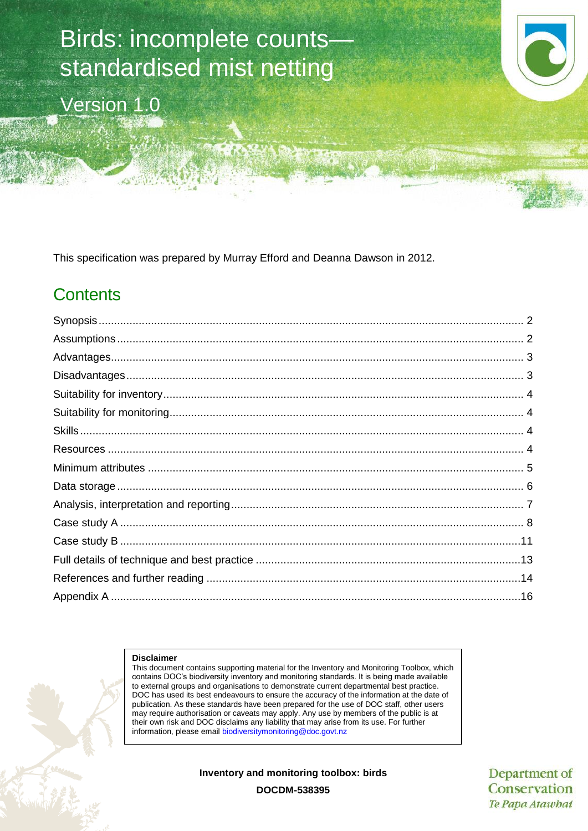# Birds: incomplete counts standardised mist netting

Version 1.0

This specification was prepared by Murray Efford and Deanna Dawson in 2012.

# **Contents**

#### **Disclaimer**

This document contains supporting material for the Inventory and Monitoring Toolbox, which contains DOC's biodiversity inventory and monitoring standards. It is being made available to external groups and organisations to demonstrate current departmental best practice. DOC has used its best endeavours to ensure the accuracy of the information at the date of publication. As these standards have been prepared for the use of DOC staff, other users may require authorisation or caveats may apply. Any use by members of the public is at their own risk and DOC disclaims any liability that may arise from its use. For further information, please email [biodiversitymonitoring@doc.govt.nz](mailto:biodiversitymonitoring@doc.govt.nz)

**Inventory and monitoring toolbox: birds**

Department of Conservation Te Papa Atawhai

**DOCDM-538395**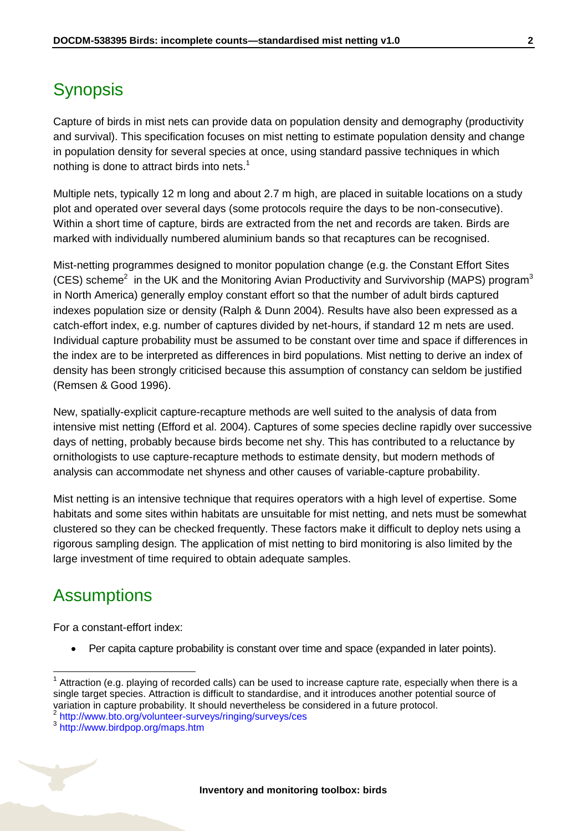## <span id="page-1-0"></span>**Synopsis**

Capture of birds in mist nets can provide data on population density and demography (productivity and survival). This specification focuses on mist netting to estimate population density and change in population density for several species at once, using standard passive techniques in which nothing is done to attract birds into nets.<sup>1</sup>

Multiple nets, typically 12 m long and about 2.7 m high, are placed in suitable locations on a study plot and operated over several days (some protocols require the days to be non-consecutive). Within a short time of capture, birds are extracted from the net and records are taken. Birds are marked with individually numbered aluminium bands so that recaptures can be recognised.

Mist-netting programmes designed to monitor population change (e.g. the Constant Effort Sites (CES) scheme<sup>2</sup> in the UK and the Monitoring Avian Productivity and Survivorship (MAPS) program<sup>3</sup> in North America) generally employ constant effort so that the number of adult birds captured indexes population size or density (Ralph & Dunn 2004). Results have also been expressed as a catch-effort index, e.g. number of captures divided by net-hours, if standard 12 m nets are used. Individual capture probability must be assumed to be constant over time and space if differences in the index are to be interpreted as differences in bird populations. Mist netting to derive an index of density has been strongly criticised because this assumption of constancy can seldom be justified (Remsen & Good 1996).

New, spatially-explicit capture-recapture methods are well suited to the analysis of data from intensive mist netting (Efford et al. 2004). Captures of some species decline rapidly over successive days of netting, probably because birds become net shy. This has contributed to a reluctance by ornithologists to use capture-recapture methods to estimate density, but modern methods of analysis can accommodate net shyness and other causes of variable-capture probability.

Mist netting is an intensive technique that requires operators with a high level of expertise. Some habitats and some sites within habitats are unsuitable for mist netting, and nets must be somewhat clustered so they can be checked frequently. These factors make it difficult to deploy nets using a rigorous sampling design. The application of mist netting to bird monitoring is also limited by the large investment of time required to obtain adequate samples.

### <span id="page-1-1"></span>**Assumptions**

 $\overline{1}$ 

For a constant-effort index:

Per capita capture probability is constant over time and space (expanded in later points).

<sup>1</sup> Attraction (e.g. playing of recorded calls) can be used to increase capture rate, especially when there is a single target species. Attraction is difficult to standardise, and it introduces another potential source of variation in capture probability. It should nevertheless be considered in a future protocol.<br><sup>2</sup> <http://www.bto.org/volunteer-surveys/ringing/surveys/ces>

<sup>3</sup> <http://www.birdpop.org/maps.htm>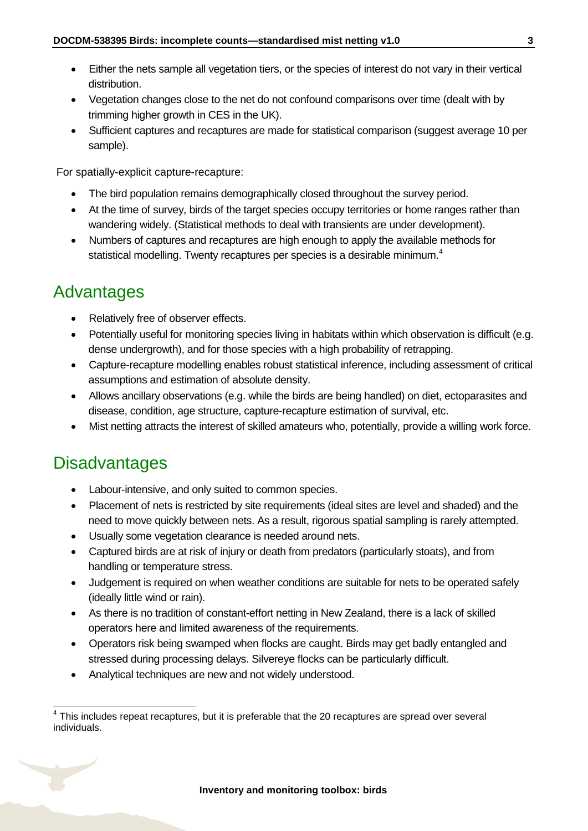- Either the nets sample all vegetation tiers, or the species of interest do not vary in their vertical distribution.
- Vegetation changes close to the net do not confound comparisons over time (dealt with by trimming higher growth in CES in the UK).
- Sufficient captures and recaptures are made for statistical comparison (suggest average 10 per sample).

For spatially-explicit capture-recapture:

- The bird population remains demographically closed throughout the survey period.
- At the time of survey, birds of the target species occupy territories or home ranges rather than wandering widely. (Statistical methods to deal with transients are under development).
- Numbers of captures and recaptures are high enough to apply the available methods for statistical modelling. Twenty recaptures per species is a desirable minimum.<sup>4</sup>

# <span id="page-2-0"></span>Advantages

- Relatively free of observer effects.
- Potentially useful for monitoring species living in habitats within which observation is difficult (e.g. dense undergrowth), and for those species with a high probability of retrapping.
- Capture-recapture modelling enables robust statistical inference, including assessment of critical assumptions and estimation of absolute density.
- Allows ancillary observations (e.g. while the birds are being handled) on diet, ectoparasites and disease, condition, age structure, capture-recapture estimation of survival, etc.
- Mist netting attracts the interest of skilled amateurs who, potentially, provide a willing work force.

# <span id="page-2-1"></span>**Disadvantages**

- Labour-intensive, and only suited to common species.
- Placement of nets is restricted by site requirements (ideal sites are level and shaded) and the need to move quickly between nets. As a result, rigorous spatial sampling is rarely attempted.
- Usually some vegetation clearance is needed around nets.
- Captured birds are at risk of injury or death from predators (particularly stoats), and from handling or temperature stress.
- Judgement is required on when weather conditions are suitable for nets to be operated safely (ideally little wind or rain).
- As there is no tradition of constant-effort netting in New Zealand, there is a lack of skilled operators here and limited awareness of the requirements.
- Operators risk being swamped when flocks are caught. Birds may get badly entangled and stressed during processing delays. Silvereye flocks can be particularly difficult.
- Analytical techniques are new and not widely understood.

 4 This includes repeat recaptures, but it is preferable that the 20 recaptures are spread over several individuals.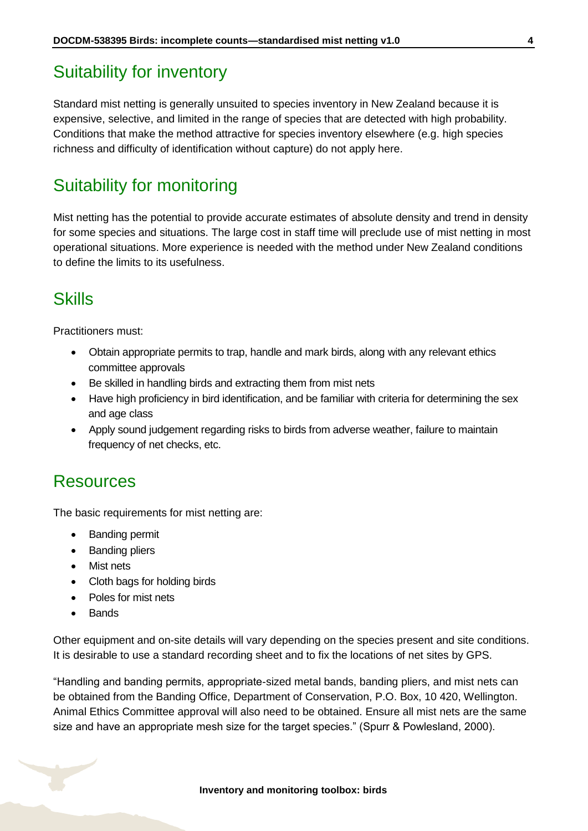### <span id="page-3-0"></span>Suitability for inventory

Standard mist netting is generally unsuited to species inventory in New Zealand because it is expensive, selective, and limited in the range of species that are detected with high probability. Conditions that make the method attractive for species inventory elsewhere (e.g. high species richness and difficulty of identification without capture) do not apply here.

### <span id="page-3-1"></span>Suitability for monitoring

Mist netting has the potential to provide accurate estimates of absolute density and trend in density for some species and situations. The large cost in staff time will preclude use of mist netting in most operational situations. More experience is needed with the method under New Zealand conditions to define the limits to its usefulness.

# <span id="page-3-2"></span>**Skills**

Practitioners must:

- Obtain appropriate permits to trap, handle and mark birds, along with any relevant ethics committee approvals
- Be skilled in handling birds and extracting them from mist nets
- Have high proficiency in bird identification, and be familiar with criteria for determining the sex and age class
- Apply sound judgement regarding risks to birds from adverse weather, failure to maintain frequency of net checks, etc.

### <span id="page-3-3"></span>Resources

The basic requirements for mist netting are:

- Banding permit
- Banding pliers
- Mist nets
- Cloth bags for holding birds
- Poles for mist nets
- **Bands**

Other equipment and on-site details will vary depending on the species present and site conditions. It is desirable to use a standard recording sheet and to fix the locations of net sites by GPS.

"Handling and banding permits, appropriate-sized metal bands, banding pliers, and mist nets can be obtained from the Banding Office, Department of Conservation, P.O. Box, 10 420, Wellington. Animal Ethics Committee approval will also need to be obtained. Ensure all mist nets are the same size and have an appropriate mesh size for the target species." (Spurr & Powlesland, 2000).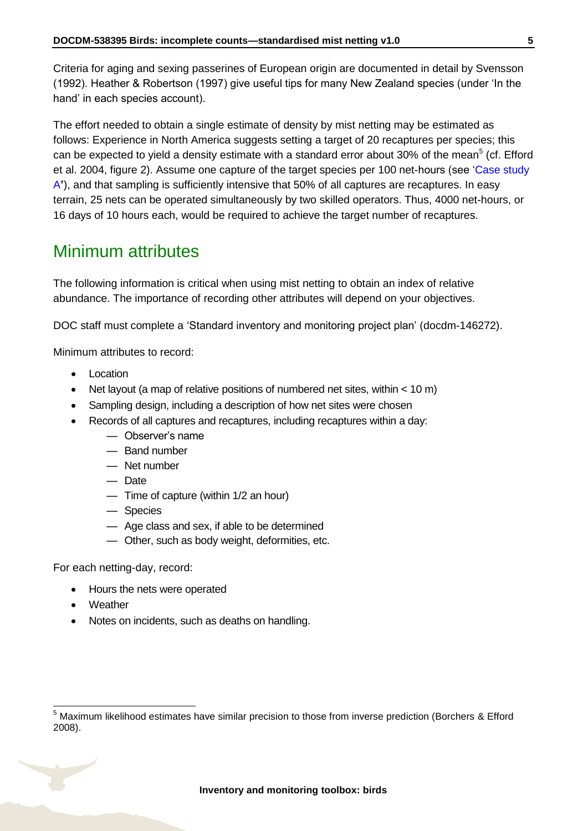Criteria for aging and sexing passerines of European origin are documented in detail by Svensson (1992). Heather & Robertson (1997) give useful tips for many New Zealand species (under 'In the hand' in each species account).

The effort needed to obtain a single estimate of density by mist netting may be estimated as follows: Experience in North America suggests setting a target of 20 recaptures per species; this can be expected to yield a density estimate with a standard error about 30% of the mean<sup>5</sup> (cf. Efford et al. 2004, figure 2). Assume one capture of the target species per 100 net-hours (see ['Case study](#page-7-0)  [A](#page-7-0)**'**), and that sampling is sufficiently intensive that 50% of all captures are recaptures. In easy terrain, 25 nets can be operated simultaneously by two skilled operators. Thus, 4000 net-hours, or 16 days of 10 hours each, would be required to achieve the target number of recaptures.

### <span id="page-4-0"></span>Minimum attributes

The following information is critical when using mist netting to obtain an index of relative abundance. The importance of recording other attributes will depend on your objectives.

DOC staff must complete a 'Standard inventory and monitoring project plan' (docdm-146272).

Minimum attributes to record:

- Location
- Net layout (a map of relative positions of numbered net sites, within < 10 m)
- Sampling design, including a description of how net sites were chosen
- Records of all captures and recaptures, including recaptures within a day:
	- Observer's name
	- Band number
	- Net number
	- Date
	- Time of capture (within 1/2 an hour)
	- Species
	- Age class and sex, if able to be determined
	- Other, such as body weight, deformities, etc.

For each netting-day, record:

- Hours the nets were operated
- Weather

-

• Notes on incidents, such as deaths on handling.

<sup>5</sup> Maximum likelihood estimates have similar precision to those from inverse prediction (Borchers & Efford 2008).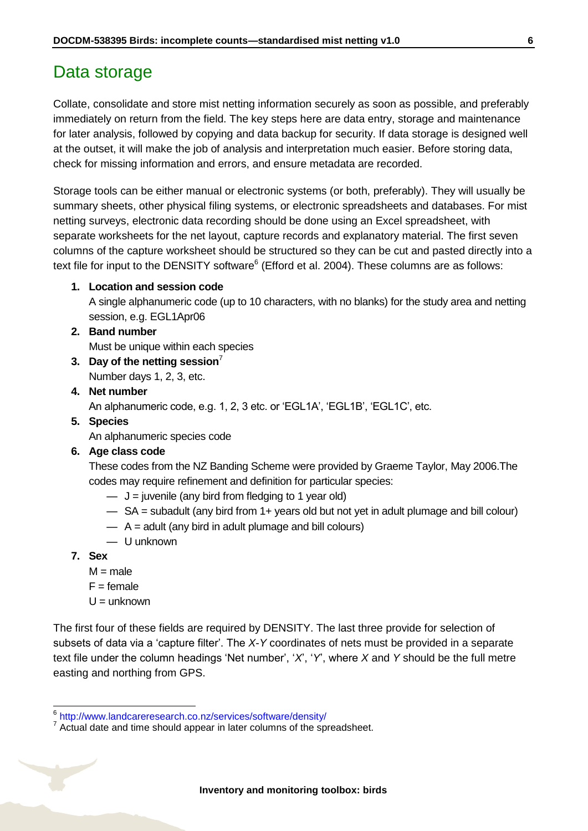### <span id="page-5-0"></span>Data storage

Collate, consolidate and store mist netting information securely as soon as possible, and preferably immediately on return from the field. The key steps here are data entry, storage and maintenance for later analysis, followed by copying and data backup for security. If data storage is designed well at the outset, it will make the job of analysis and interpretation much easier. Before storing data, check for missing information and errors, and ensure metadata are recorded.

Storage tools can be either manual or electronic systems (or both, preferably). They will usually be summary sheets, other physical filing systems, or electronic spreadsheets and databases. For mist netting surveys, electronic data recording should be done using an Excel spreadsheet, with separate worksheets for the net layout, capture records and explanatory material. The first seven columns of the capture worksheet should be structured so they can be cut and pasted directly into a text file for input to the DENSITY software $<sup>6</sup>$  (Efford et al. 2004). These columns are as follows:</sup>

#### **1. Location and session code**

A single alphanumeric code (up to 10 characters, with no blanks) for the study area and netting session, e.g. EGL1Apr06

#### **2. Band number**

Must be unique within each species

- **3. Day of the netting session**<sup>7</sup>
	- Number days 1, 2, 3, etc.

#### **4. Net number**

An alphanumeric code, e.g. 1, 2, 3 etc. or 'EGL1A', 'EGL1B', 'EGL1C', etc.

**5. Species**

An alphanumeric species code

#### **6. Age class code**

These codes from the NZ Banding Scheme were provided by Graeme Taylor, May 2006.The codes may require refinement and definition for particular species:

- $\overline{\phantom{a}}$  J = juvenile (any bird from fledging to 1 year old)
- SA = subadult (any bird from 1+ years old but not yet in adult plumage and bill colour)
- $A =$  adult (any bird in adult plumage and bill colours)
- U unknown
- **7. Sex**
	- $M = male$
	- $F =$  female
	- $U =$ unknown

The first four of these fields are required by DENSITY. The last three provide for selection of subsets of data via a 'capture filter'. The *X*-*Y* coordinates of nets must be provided in a separate text file under the column headings 'Net number', '*X*', '*Y*', where *X* and *Y* should be the full metre easting and northing from GPS.

 6 <http://www.landcareresearch.co.nz/services/software/density/>

 $7$  Actual date and time should appear in later columns of the spreadsheet.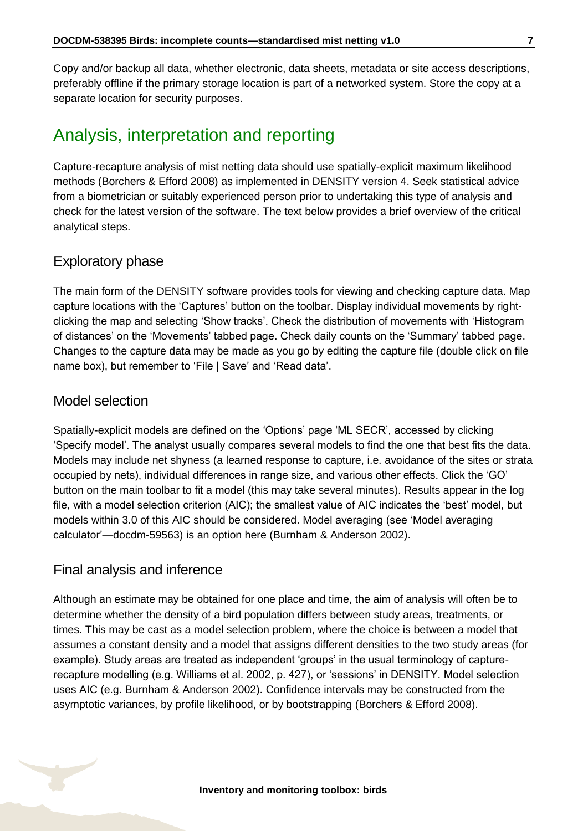Copy and/or backup all data, whether electronic, data sheets, metadata or site access descriptions, preferably offline if the primary storage location is part of a networked system. Store the copy at a separate location for security purposes.

### <span id="page-6-0"></span>Analysis, interpretation and reporting

Capture-recapture analysis of mist netting data should use spatially-explicit maximum likelihood methods (Borchers & Efford 2008) as implemented in DENSITY version 4. Seek statistical advice from a biometrician or suitably experienced person prior to undertaking this type of analysis and check for the latest version of the software. The text below provides a brief overview of the critical analytical steps.

### Exploratory phase

The main form of the DENSITY software provides tools for viewing and checking capture data. Map capture locations with the 'Captures' button on the toolbar. Display individual movements by rightclicking the map and selecting 'Show tracks'. Check the distribution of movements with 'Histogram of distances' on the 'Movements' tabbed page. Check daily counts on the 'Summary' tabbed page. Changes to the capture data may be made as you go by editing the capture file (double click on file name box), but remember to 'File | Save' and 'Read data'.

### Model selection

Spatially-explicit models are defined on the 'Options' page 'ML SECR', accessed by clicking 'Specify model'. The analyst usually compares several models to find the one that best fits the data. Models may include net shyness (a learned response to capture, i.e. avoidance of the sites or strata occupied by nets), individual differences in range size, and various other effects. Click the 'GO' button on the main toolbar to fit a model (this may take several minutes). Results appear in the log file, with a model selection criterion (AIC); the smallest value of AIC indicates the 'best' model, but models within 3.0 of this AIC should be considered. Model averaging (see 'Model averaging calculator'—docdm-59563) is an option here (Burnham & Anderson 2002).

### Final analysis and inference

Although an estimate may be obtained for one place and time, the aim of analysis will often be to determine whether the density of a bird population differs between study areas, treatments, or times. This may be cast as a model selection problem, where the choice is between a model that assumes a constant density and a model that assigns different densities to the two study areas (for example). Study areas are treated as independent 'groups' in the usual terminology of capturerecapture modelling (e.g. Williams et al. 2002, p. 427), or 'sessions' in DENSITY. Model selection uses AIC (e.g. Burnham & Anderson 2002). Confidence intervals may be constructed from the asymptotic variances, by profile likelihood, or by bootstrapping (Borchers & Efford 2008).

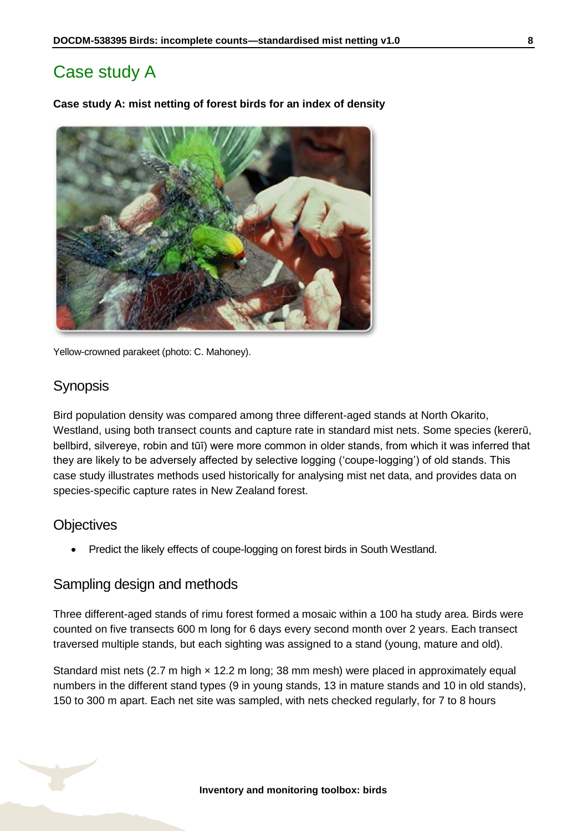# <span id="page-7-0"></span>Case study A

**Case study A: mist netting of forest birds for an index of density** 



Yellow-crowned parakeet (photo: C. Mahoney).

### **Synopsis**

Bird population density was compared among three different-aged stands at North Okarito, Westland, using both transect counts and capture rate in standard mist nets. Some species (kererū, bellbird, silvereye, robin and tūī) were more common in older stands, from which it was inferred that they are likely to be adversely affected by selective logging ('coupe-logging') of old stands. This case study illustrates methods used historically for analysing mist net data, and provides data on species-specific capture rates in New Zealand forest.

### **Objectives**

Predict the likely effects of coupe-logging on forest birds in South Westland.

### Sampling design and methods

Three different-aged stands of rimu forest formed a mosaic within a 100 ha study area. Birds were counted on five transects 600 m long for 6 days every second month over 2 years. Each transect traversed multiple stands, but each sighting was assigned to a stand (young, mature and old).

Standard mist nets (2.7 m high x 12.2 m long; 38 mm mesh) were placed in approximately equal numbers in the different stand types (9 in young stands, 13 in mature stands and 10 in old stands), 150 to 300 m apart. Each net site was sampled, with nets checked regularly, for 7 to 8 hours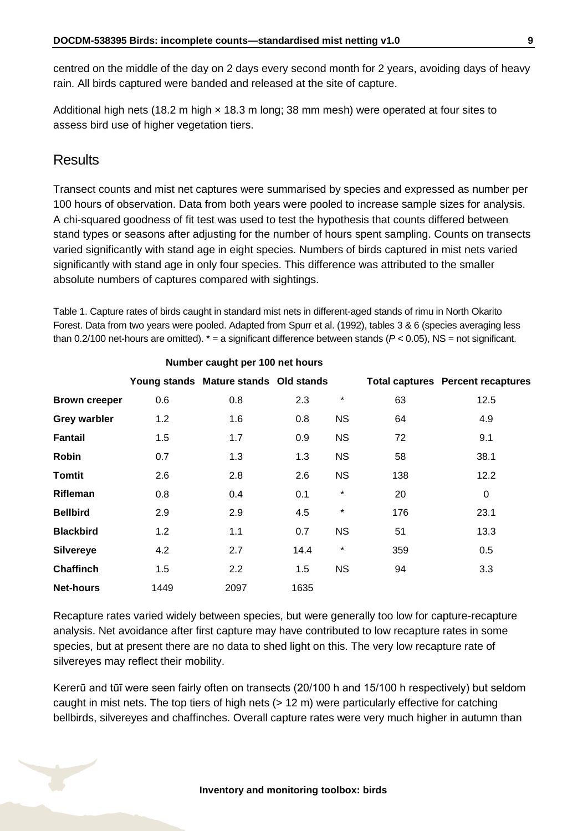centred on the middle of the day on 2 days every second month for 2 years, avoiding days of heavy rain. All birds captured were banded and released at the site of capture.

Additional high nets (18.2 m high  $\times$  18.3 m long; 38 mm mesh) were operated at four sites to assess bird use of higher vegetation tiers.

#### **Results**

Transect counts and mist net captures were summarised by species and expressed as number per 100 hours of observation. Data from both years were pooled to increase sample sizes for analysis. A chi-squared goodness of fit test was used to test the hypothesis that counts differed between stand types or seasons after adjusting for the number of hours spent sampling. Counts on transects varied significantly with stand age in eight species. Numbers of birds captured in mist nets varied significantly with stand age in only four species. This difference was attributed to the smaller absolute numbers of captures compared with sightings.

Table 1. Capture rates of birds caught in standard mist nets in different-aged stands of rimu in North Okarito Forest. Data from two years were pooled. Adapted from Spurr et al. (1992), tables 3 & 6 (species averaging less than 0.2/100 net-hours are omitted).  $* = a$  significant difference between stands ( $P < 0.05$ ), NS = not significant.

|                      | Number caught per 100 net hours |                                       |      |           |     |                                          |
|----------------------|---------------------------------|---------------------------------------|------|-----------|-----|------------------------------------------|
|                      |                                 | Young stands Mature stands Old stands |      |           |     | <b>Total captures Percent recaptures</b> |
| <b>Brown creeper</b> | 0.6                             | 0.8                                   | 2.3  | $\star$   | 63  | 12.5                                     |
| <b>Grey warbler</b>  | 1.2                             | 1.6                                   | 0.8  | <b>NS</b> | 64  | 4.9                                      |
| <b>Fantail</b>       | 1.5                             | 1.7                                   | 0.9  | <b>NS</b> | 72  | 9.1                                      |
| <b>Robin</b>         | 0.7                             | 1.3                                   | 1.3  | <b>NS</b> | 58  | 38.1                                     |
| <b>Tomtit</b>        | 2.6                             | 2.8                                   | 2.6  | <b>NS</b> | 138 | 12.2                                     |
| <b>Rifleman</b>      | 0.8                             | 0.4                                   | 0.1  | $\star$   | 20  | 0                                        |
| <b>Bellbird</b>      | 2.9                             | 2.9                                   | 4.5  | $^\star$  | 176 | 23.1                                     |
| <b>Blackbird</b>     | 1.2                             | 1.1                                   | 0.7  | <b>NS</b> | 51  | 13.3                                     |
| <b>Silvereye</b>     | 4.2                             | 2.7                                   | 14.4 | $\star$   | 359 | 0.5                                      |
| <b>Chaffinch</b>     | 1.5                             | 2.2                                   | 1.5  | <b>NS</b> | 94  | 3.3                                      |
| <b>Net-hours</b>     | 1449                            | 2097                                  | 1635 |           |     |                                          |

Recapture rates varied widely between species, but were generally too low for capture-recapture analysis. Net avoidance after first capture may have contributed to low recapture rates in some species, but at present there are no data to shed light on this. The very low recapture rate of silvereyes may reflect their mobility.

Kererū and tūī were seen fairly often on transects (20/100 h and 15/100 h respectively) but seldom caught in mist nets. The top tiers of high nets (> 12 m) were particularly effective for catching bellbirds, silvereyes and chaffinches. Overall capture rates were very much higher in autumn than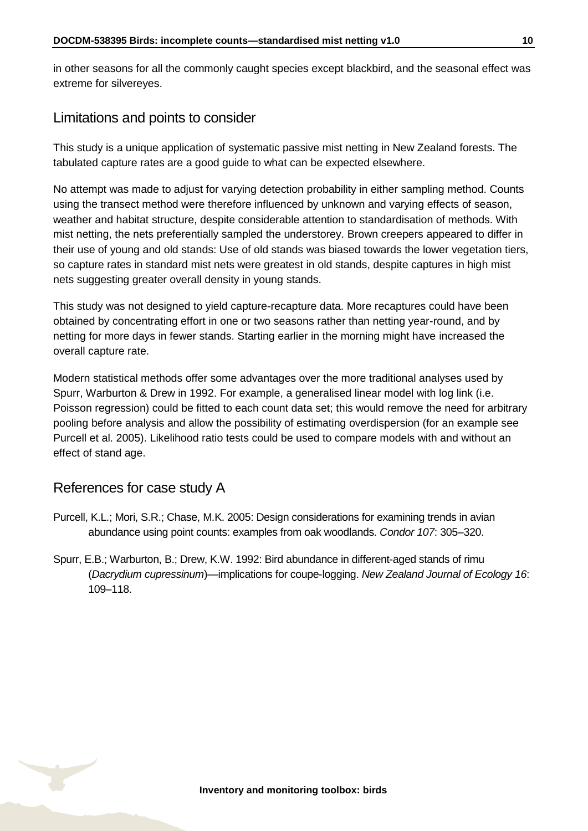in other seasons for all the commonly caught species except blackbird, and the seasonal effect was extreme for silvereyes.

### Limitations and points to consider

This study is a unique application of systematic passive mist netting in New Zealand forests. The tabulated capture rates are a good guide to what can be expected elsewhere.

No attempt was made to adjust for varying detection probability in either sampling method. Counts using the transect method were therefore influenced by unknown and varying effects of season, weather and habitat structure, despite considerable attention to standardisation of methods. With mist netting, the nets preferentially sampled the understorey. Brown creepers appeared to differ in their use of young and old stands: Use of old stands was biased towards the lower vegetation tiers, so capture rates in standard mist nets were greatest in old stands, despite captures in high mist nets suggesting greater overall density in young stands.

This study was not designed to yield capture-recapture data. More recaptures could have been obtained by concentrating effort in one or two seasons rather than netting year-round, and by netting for more days in fewer stands. Starting earlier in the morning might have increased the overall capture rate.

Modern statistical methods offer some advantages over the more traditional analyses used by Spurr, Warburton & Drew in 1992. For example, a generalised linear model with log link (i.e. Poisson regression) could be fitted to each count data set; this would remove the need for arbitrary pooling before analysis and allow the possibility of estimating overdispersion (for an example see Purcell et al. 2005). Likelihood ratio tests could be used to compare models with and without an effect of stand age.

### References for case study A

- Purcell, K.L.; Mori, S.R.; Chase, M.K. 2005: Design considerations for examining trends in avian abundance using point counts: examples from oak woodlands. *Condor 107*: 305–320.
- Spurr, E.B.; Warburton, B.; Drew, K.W. 1992: Bird abundance in different-aged stands of rimu (*Dacrydium cupressinum*)—implications for coupe-logging. *New Zealand Journal of Ecology 16*: 109–118.

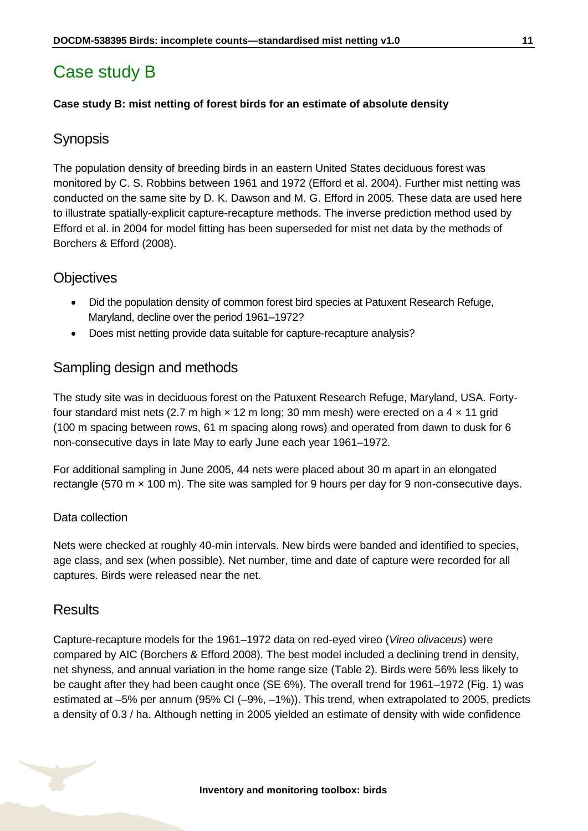# <span id="page-10-0"></span>Case study B

#### **Case study B: mist netting of forest birds for an estimate of absolute density**

### **Synopsis**

The population density of breeding birds in an eastern United States deciduous forest was monitored by C. S. Robbins between 1961 and 1972 (Efford et al. 2004). Further mist netting was conducted on the same site by D. K. Dawson and M. G. Efford in 2005. These data are used here to illustrate spatially-explicit capture-recapture methods. The inverse prediction method used by Efford et al. in 2004 for model fitting has been superseded for mist net data by the methods of Borchers & Efford (2008).

### **Objectives**

- Did the population density of common forest bird species at Patuxent Research Refuge, Maryland, decline over the period 1961–1972?
- Does mist netting provide data suitable for capture-recapture analysis?

### Sampling design and methods

The study site was in deciduous forest on the Patuxent Research Refuge, Maryland, USA. Fortyfour standard mist nets (2.7 m high  $\times$  12 m long; 30 mm mesh) were erected on a 4  $\times$  11 grid (100 m spacing between rows, 61 m spacing along rows) and operated from dawn to dusk for 6 non-consecutive days in late May to early June each year 1961–1972.

For additional sampling in June 2005, 44 nets were placed about 30 m apart in an elongated rectangle (570 m  $\times$  100 m). The site was sampled for 9 hours per day for 9 non-consecutive days.

#### Data collection

Nets were checked at roughly 40-min intervals. New birds were banded and identified to species, age class, and sex (when possible). Net number, time and date of capture were recorded for all captures. Birds were released near the net.

#### **Results**

Capture-recapture models for the 1961–1972 data on red-eyed vireo (*Vireo olivaceus*) were compared by AIC (Borchers & Efford 2008). The best model included a declining trend in density, net shyness, and annual variation in the home range size (Table 2). Birds were 56% less likely to be caught after they had been caught once (SE 6%). The overall trend for 1961–1972 (Fig. 1) was estimated at –5% per annum (95% CI (–9%, –1%)). This trend, when extrapolated to 2005, predicts a density of 0.3 / ha. Although netting in 2005 yielded an estimate of density with wide confidence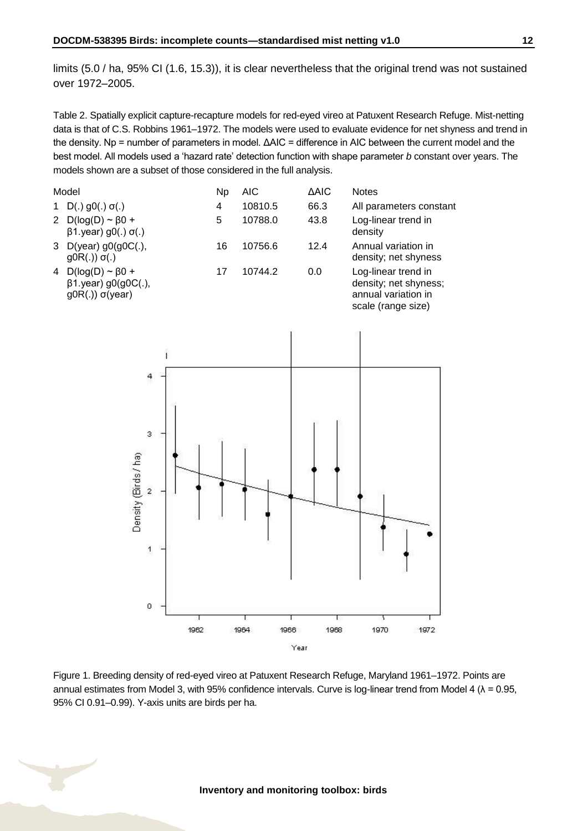limits (5.0 / ha, 95% CI (1.6, 15.3)), it is clear nevertheless that the original trend was not sustained over 1972–2005.

Table 2. Spatially explicit capture-recapture models for red-eyed vireo at Patuxent Research Refuge. Mist-netting data is that of C.S. Robbins 1961–1972. The models were used to evaluate evidence for net shyness and trend in the density. Np = number of parameters in model. ΔAIC = difference in AIC between the current model and the best model. All models used a 'hazard rate' detection function with shape parameter *b* constant over years. The models shown are a subset of those considered in the full analysis.



Figure 1. Breeding density of red-eyed vireo at Patuxent Research Refuge, Maryland 1961–1972. Points are annual estimates from Model 3, with 95% confidence intervals. Curve is log-linear trend from Model 4 ( $\lambda$  = 0.95, 95% CI 0.91–0.99). Y-axis units are birds per ha.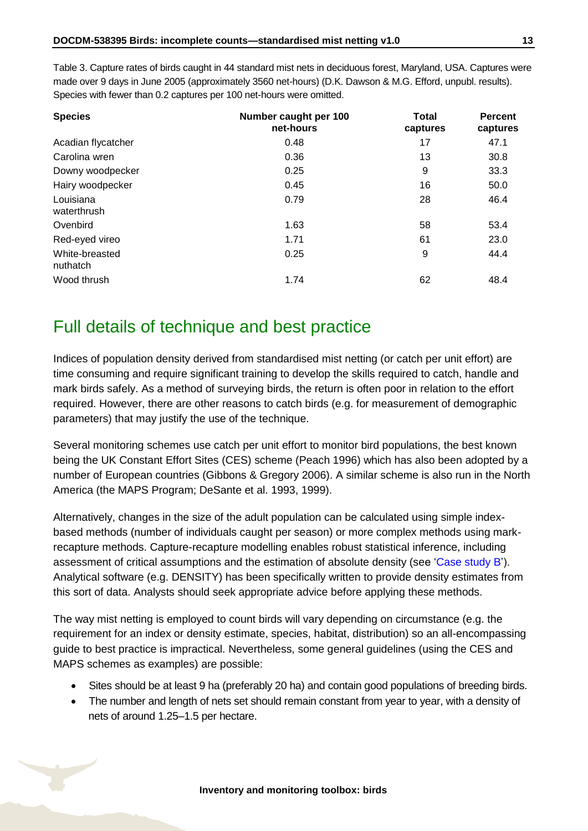Table 3. Capture rates of birds caught in 44 standard mist nets in deciduous forest, Maryland, USA. Captures were made over 9 days in June 2005 (approximately 3560 net-hours) (D.K. Dawson & M.G. Efford, unpubl. results). Species with fewer than 0.2 captures per 100 net-hours were omitted.

| <b>Species</b>             | Number caught per 100<br>net-hours | <b>Total</b><br>captures | <b>Percent</b><br>captures |
|----------------------------|------------------------------------|--------------------------|----------------------------|
| Acadian flycatcher         | 0.48                               | 17                       | 47.1                       |
| Carolina wren              | 0.36                               | 13                       | 30.8                       |
| Downy woodpecker           | 0.25                               | 9                        | 33.3                       |
| Hairy woodpecker           | 0.45                               | 16                       | 50.0                       |
| Louisiana<br>waterthrush   | 0.79                               | 28                       | 46.4                       |
| Ovenbird                   | 1.63                               | 58                       | 53.4                       |
| Red-eyed vireo             | 1.71                               | 61                       | 23.0                       |
| White-breasted<br>nuthatch | 0.25                               | 9                        | 44.4                       |
| Wood thrush                | 1.74                               | 62                       | 48.4                       |

### <span id="page-12-0"></span>Full details of technique and best practice

Indices of population density derived from standardised mist netting (or catch per unit effort) are time consuming and require significant training to develop the skills required to catch, handle and mark birds safely. As a method of surveying birds, the return is often poor in relation to the effort required. However, there are other reasons to catch birds (e.g. for measurement of demographic parameters) that may justify the use of the technique.

Several monitoring schemes use catch per unit effort to monitor bird populations, the best known being the UK Constant Effort Sites (CES) scheme (Peach 1996) which has also been adopted by a number of European countries (Gibbons & Gregory 2006). A similar scheme is also run in the North America (the MAPS Program; DeSante et al. 1993, 1999).

Alternatively, changes in the size of the adult population can be calculated using simple indexbased methods (number of individuals caught per season) or more complex methods using markrecapture methods. Capture-recapture modelling enables robust statistical inference, including assessment of critical assumptions and the estimation of absolute density (see ['Case study B'](#page-10-0)). Analytical software (e.g. DENSITY) has been specifically written to provide density estimates from this sort of data. Analysts should seek appropriate advice before applying these methods.

The way mist netting is employed to count birds will vary depending on circumstance (e.g. the requirement for an index or density estimate, species, habitat, distribution) so an all-encompassing guide to best practice is impractical. Nevertheless, some general guidelines (using the CES and MAPS schemes as examples) are possible:

- Sites should be at least 9 ha (preferably 20 ha) and contain good populations of breeding birds.
- The number and length of nets set should remain constant from year to year, with a density of nets of around 1.25–1.5 per hectare.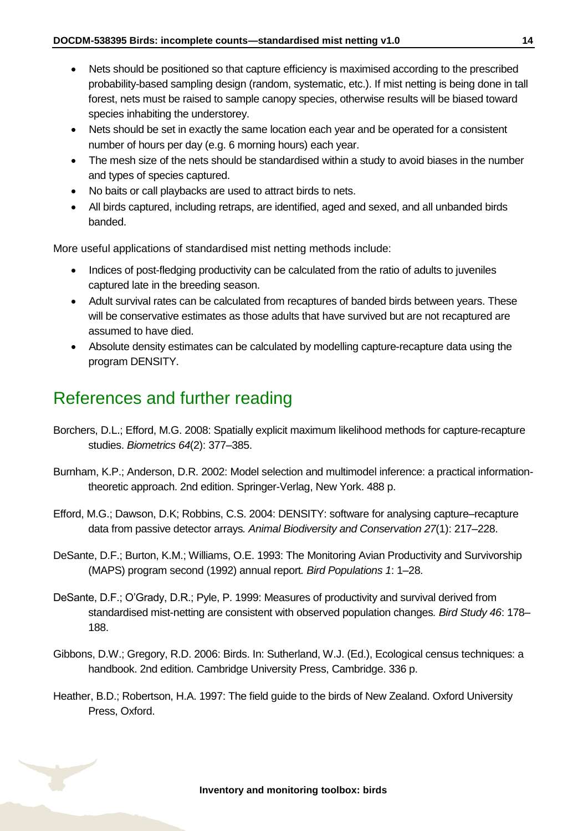- Nets should be positioned so that capture efficiency is maximised according to the prescribed probability-based sampling design (random, systematic, etc.). If mist netting is being done in tall forest, nets must be raised to sample canopy species, otherwise results will be biased toward species inhabiting the understorey.
- Nets should be set in exactly the same location each year and be operated for a consistent number of hours per day (e.g. 6 morning hours) each year.
- The mesh size of the nets should be standardised within a study to avoid biases in the number and types of species captured.
- No baits or call playbacks are used to attract birds to nets.
- All birds captured, including retraps, are identified, aged and sexed, and all unbanded birds banded.

More useful applications of standardised mist netting methods include:

- Indices of post-fledging productivity can be calculated from the ratio of adults to juveniles captured late in the breeding season.
- Adult survival rates can be calculated from recaptures of banded birds between years. These will be conservative estimates as those adults that have survived but are not recaptured are assumed to have died.
- Absolute density estimates can be calculated by modelling capture-recapture data using the program DENSITY.

### <span id="page-13-0"></span>References and further reading

- Borchers, D.L.; Efford, M.G. 2008: Spatially explicit maximum likelihood methods for capture-recapture studies. *Biometrics 64*(2): 377–385.
- Burnham, K.P.; Anderson, D.R. 2002: Model selection and multimodel inference: a practical informationtheoretic approach. 2nd edition. Springer-Verlag, New York. 488 p.
- Efford, M.G.; Dawson, D.K; Robbins, C.S. 2004: DENSITY: software for analysing capture–recapture data from passive detector arrays*. Animal Biodiversity and Conservation 27*(1): 217–228.
- DeSante, D.F.; Burton, K.M.; Williams, O.E. 1993: The Monitoring Avian Productivity and Survivorship (MAPS) program second (1992) annual report*. Bird Populations 1*: 1–28.
- DeSante, D.F.; O'Grady, D.R.; Pyle, P. 1999: Measures of productivity and survival derived from standardised mist-netting are consistent with observed population changes*. Bird Study 46*: 178– 188.
- Gibbons, D.W.; Gregory, R.D. 2006: Birds. In: Sutherland, W.J. (Ed.), Ecological census techniques: a handbook. 2nd edition. Cambridge University Press, Cambridge. 336 p.
- Heather, B.D.; Robertson, H.A. 1997: The field guide to the birds of New Zealand. Oxford University Press, Oxford.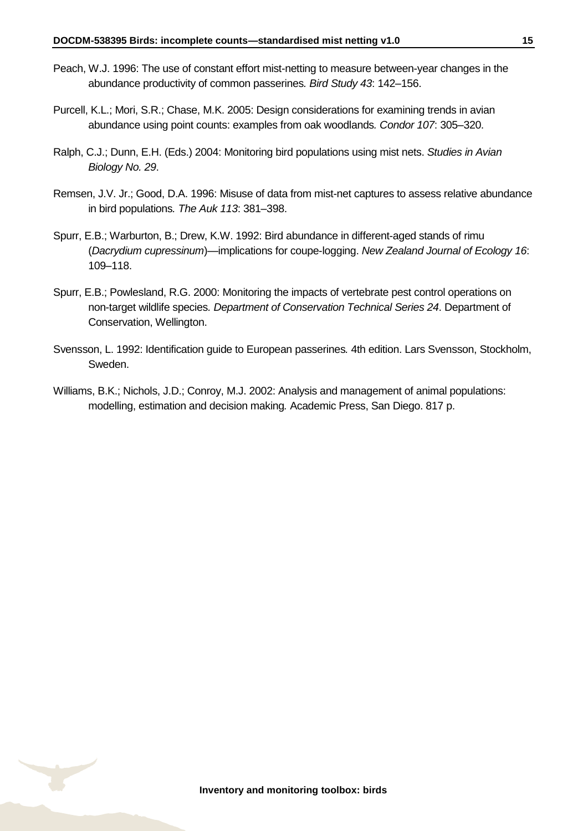- Peach, W.J. 1996: The use of constant effort mist-netting to measure between-year changes in the abundance productivity of common passerines*. Bird Study 43*: 142–156.
- Purcell, K.L.; Mori, S.R.; Chase, M.K. 2005: Design considerations for examining trends in avian abundance using point counts: examples from oak woodlands*. Condor 107*: 305–320.
- Ralph, C.J.; Dunn, E.H. (Eds.) 2004: Monitoring bird populations using mist nets. *Studies in Avian Biology No. 29*.
- Remsen, J.V. Jr.; Good, D.A. 1996: Misuse of data from mist-net captures to assess relative abundance in bird populations*. The Auk 113*: 381–398.
- Spurr, E.B.; Warburton, B.; Drew, K.W. 1992: Bird abundance in different-aged stands of rimu (*Dacrydium cupressinum*)—implications for coupe-logging. *New Zealand Journal of Ecology 16*: 109–118.
- Spurr, E.B.; Powlesland, R.G. 2000: Monitoring the impacts of vertebrate pest control operations on non-target wildlife species*. Department of Conservation Technical Series 24*. Department of Conservation, Wellington.
- Svensson, L. 1992: Identification guide to European passerines*.* 4th edition. Lars Svensson, Stockholm, Sweden.
- Williams, B.K.; Nichols, J.D.; Conroy, M.J. 2002: Analysis and management of animal populations: modelling, estimation and decision making*.* Academic Press, San Diego. 817 p.